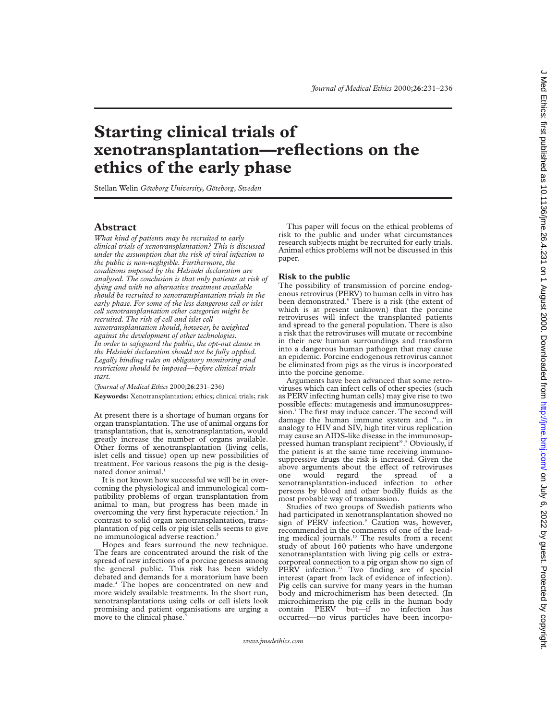# **Starting clinical trials of xenotransplantation—reflections on the ethics of the early phase**

Stellan Welin *Göteborg University, Göteborg, Sweden*

## **Abstract**

*What kind of patients may be recruited to early clinical trials of xenotransplantation? This is discussed under the assumption that the risk of viral infection to the public is non-negligible. Furthermore, the conditions imposed by the Helsinki declaration are analysed. The conclusion is that only patients at risk of dying and with no alternative treatment available should be recruited to xenotransplantation trials in the early phase. For some of the less dangerous cell or islet cell xenotransplantation other categories might be recruited. The risk of cell and islet cell xenotransplantation should, however, be weighted against the development of other technologies. In order to safeguard the public, the opt-out clause in the Helsinki declaration should not be fully applied. Legally binding rules on obligatory monitoring and restrictions should be imposed—before clinical trials start.*

(*Journal of Medical Ethics* 2000;**26**:231–236)

**Keywords:** Xenotransplantation; ethics; clinical trials; risk

At present there is a shortage of human organs for organ transplantation. The use of animal organs for transplantation, that is, xenotransplantation, would greatly increase the number of organs available. Other forms of xenotransplantation (living cells, islet cells and tissue) open up new possibilities of treatment. For various reasons the pig is the designated donor animal.<sup>1</sup>

It is not known how successful we will be in overcoming the physiological and immunological compatibility problems of organ transplantation from animal to man, but progress has been made in overcoming the very first hyperacute rejection.<sup>2</sup> In contrast to solid organ xenotransplantation, transplantation of pig cells or pig islet cells seems to give no immunological adverse reaction.<sup>3</sup>

Hopes and fears surround the new technique. The fears are concentrated around the risk of the spread of new infections of a porcine genesis among the general public. This risk has been widely debated and demands for a moratorium have been made.4 The hopes are concentrated on new and more widely available treatments. In the short run, xenotransplantations using cells or cell islets look promising and patient organisations are urging a move to the clinical phase.<sup>5</sup>

This paper will focus on the ethical problems of risk to the public and under what circumstances research subjects might be recruited for early trials. Animal ethics problems will not be discussed in this paper.

#### **Risk to the public**

The possibility of transmission of porcine endogenous retrovirus (PERV) to human cells in vitro has been demonstrated.<sup>6</sup> There is a risk (the extent of which is at present unknown) that the porcine retroviruses will infect the transplanted patients and spread to the general population. There is also a risk that the retroviruses will mutate or recombine in their new human surroundings and transform into a dangerous human pathogen that may cause an epidemic. Porcine endogenous retrovirus cannot be eliminated from pigs as the virus is incorporated into the porcine genome.

Arguments have been advanced that some retroviruses which can infect cells of other species (such as PERV infecting human cells) may give rise to two possible effects: mutagenesis and immunosuppression.<sup>7</sup> The first may induce cancer. The second will damage the human immune system and "... in analogy to HIV and SIV, high titer virus replication may cause an AIDS-like disease in the immunosuppressed human transplant recipient".<sup>8</sup> Obviously, if the patient is at the same time receiving immunosuppressive drugs the risk is increased. Given the above arguments about the effect of retroviruses<br>one would regard the spread of a one would regard the spread of a xenotransplantation-induced infection to other persons by blood and other bodily fluids as the most probable way of transmission.

Studies of two groups of Swedish patients who had participated in xenotransplantation showed no sign of PERV infection.<sup>9</sup> Caution was, however, recommended in the comments of one of the leading medical journals.<sup>10</sup> The results from a recent study of about 160 patients who have undergone xenotransplantation with living pig cells or extracorporeal connection to a pig organ show no sign of PERV infection.<sup>11</sup> Two finding are of special interest (apart from lack of evidence of infection). Pig cells can survive for many years in the human body and microchimerism has been detected. (In microchimerism the pig cells in the human body contain PERV but—if no infection has occurred—no virus particles have been incorpo-

*www.jmedethics.com*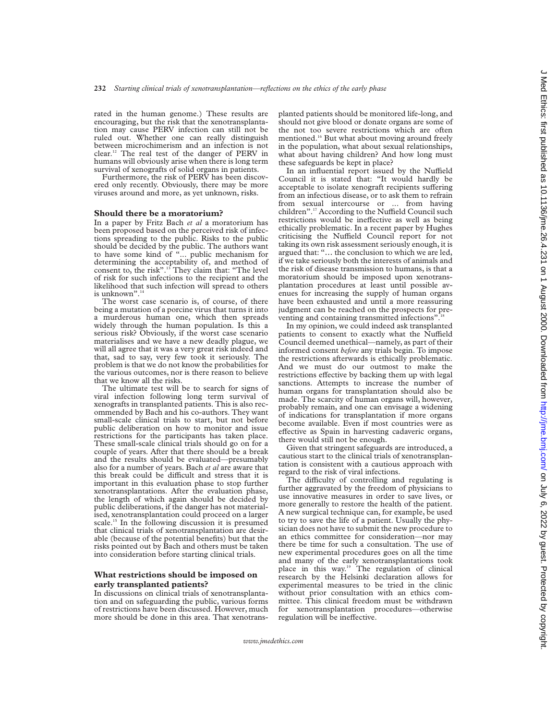rated in the human genome.) These results are encouraging, but the risk that the xenotransplantation may cause PERV infection can still not be ruled out. Whether one can really distinguish between microchimerism and an infection is not clear.12 The real test of the danger of PERV in humans will obviously arise when there is long term survival of xenografts of solid organs in patients.

Furthermore, the risk of PERV has been discovered only recently. Obviously, there may be more viruses around and more, as yet unknown, risks.

#### **Should there be a moratorium?**

In a paper by Fritz Bach *et al* a moratorium has been proposed based on the perceived risk of infections spreading to the public. Risks to the public should be decided by the public. The authors want to have some kind of "... public mechanism for determining the acceptability of, and method of consent to, the risk".13 They claim that: "The level of risk for such infections to the recipient and the likelihood that such infection will spread to others is unknown".<sup>1</sup>

The worst case scenario is, of course, of there being a mutation of a porcine virus that turns it into a murderous human one, which then spreads widely through the human population. Is this a serious risk? Obviously, if the worst case scenario materialises and we have a new deadly plague, we will all agree that it was a very great risk indeed and that, sad to say, very few took it seriously. The problem is that we do not know the probabilities for the various outcomes, nor is there reason to believe that we know all the risks.

The ultimate test will be to search for signs of viral infection following long term survival of xenografts in transplanted patients. This is also recommended by Bach and his co-authors. They want small-scale clinical trials to start, but not before public deliberation on how to monitor and issue restrictions for the participants has taken place. These small-scale clinical trials should go on for a couple of years. After that there should be a break and the results should be evaluated—presumably also for a number of years. Bach *et al* are aware that this break could be difficult and stress that it is important in this evaluation phase to stop further xenotransplantations. After the evaluation phase, the length of which again should be decided by public deliberations, if the danger has not materialised, xenotransplantation could proceed on a larger scale.<sup>15</sup> In the following discussion it is presumed that clinical trials of xenotransplantation are desirable (because of the potential benefits) but that the risks pointed out by Bach and others must be taken into consideration before starting clinical trials.

# **What restrictions should be imposed on early transplanted patients?**

In discussions on clinical trials of xenotransplantation and on safeguarding the public, various forms of restrictions have been discussed. However, much more should be done in this area. That xenotransplanted patients should be monitored life-long, and should not give blood or donate organs are some of the not too severe restrictions which are often mentioned.16 But what about moving around freely in the population, what about sexual relationships, what about having children? And how long must these safeguards be kept in place?

In an influential report issued by the Nuffield Council it is stated that: "It would hardly be acceptable to isolate xenograft recipients suffering from an infectious disease, or to ask them to refrain from sexual intercourse or ... from having children".<sup>17</sup> According to the Nuffield Council such restrictions would be ineffective as well as being ethically problematic. In a recent paper by Hughes criticising the Nuffield Council report for not taking its own risk assessment seriously enough, it is argued that: "… the conclusion to which we are led, if we take seriously both the interests of animals and the risk of disease transmission to humans, is that a moratorium should be imposed upon xenotransplantation procedures at least until possible avenues for increasing the supply of human organs have been exhausted and until a more reassuring judgment can be reached on the prospects for preventing and containing transmitted infections".

In my opinion, we could indeed ask transplanted patients to consent to exactly what the Nuffield Council deemed unethical—namely, as part of their informed consent *before* any trials begin. To impose the restrictions afterwards is ethically problematic. And we must do our outmost to make the restrictions effective by backing them up with legal sanctions. Attempts to increase the number of human organs for transplantation should also be made. The scarcity of human organs will, however, probably remain, and one can envisage a widening of indications for transplantation if more organs become available. Even if most countries were as effective as Spain in harvesting cadaveric organs, there would still not be enough.

Given that stringent safeguards are introduced, a cautious start to the clinical trials of xenotransplantation is consistent with a cautious approach with regard to the risk of viral infections.

The difficulty of controlling and regulating is further aggravated by the freedom of physicians to use innovative measures in order to save lives, or more generally to restore the health of the patient. A new surgical technique can, for example, be used to try to save the life of a patient. Usually the physician does not have to submit the new procedure to an ethics committee for consideration—nor may there be time for such a consultation. The use of new experimental procedures goes on all the time and many of the early xenotransplantations took place in this way.19 The regulation of clinical research by the Helsinki declaration allows for experimental measures to be tried in the clinic without prior consultation with an ethics committee. This clinical freedom must be withdrawn<br>for xenotransplantation procedures—otherwise for xenotransplantation procedures—otherwise regulation will be ineffective.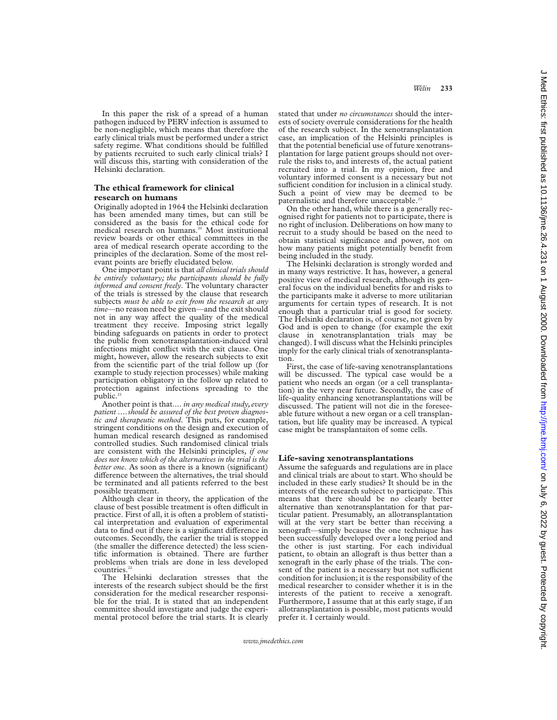In this paper the risk of a spread of a human pathogen induced by PERV infection is assumed to be non-negligible, which means that therefore the early clinical trials must be performed under a strict safety regime. What conditions should be fulfilled by patients recruited to such early clinical trials? I will discuss this, starting with consideration of the Helsinki declaration.

### **The ethical framework for clinical research on humans**

Originally adopted in 1964 the Helsinki declaration has been amended many times, but can still be considered as the basis for the ethical code for medical research on humans.<sup>20</sup> Most institutional review boards or other ethical committees in the area of medical research operate according to the principles of the declaration. Some of the most relevant points are briefly elucidated below.

One important point is that *all clinical trials should be entirely voluntary; the participants should be fully informed and consent freely*. The voluntary character of the trials is stressed by the clause that research subjects *must be able to exit from the research at any time*—no reason need be given—and the exit should not in any way affect the quality of the medical treatment they receive. Imposing strict legally binding safeguards on patients in order to protect the public from xenotransplantation-induced viral infections might conflict with the exit clause. One might, however, allow the research subjects to exit from the scientific part of the trial follow up (for example to study rejection processes) while making participation obligatory in the follow up related to protection against infections spreading to the public.<sup>21</sup>

Another point is that.... *in any medical study, every patient ....should be assured of the best proven diagnostic and therapeutic method*. This puts, for example, stringent conditions on the design and execution of human medical research designed as randomised controlled studies. Such randomised clinical trials are consistent with the Helsinki principles*, if one does not know which of the alternatives in the trial is the better one.* As soon as there is a known (significant) difference between the alternatives, the trial should be terminated and all patients referred to the best possible treatment.

Although clear in theory, the application of the clause of best possible treatment is often difficult in practice. First of all, it is often a problem of statistical interpretation and evaluation of experimental data to find out if there is a significant difference in outcomes. Secondly, the earlier the trial is stopped (the smaller the difference detected) the less scientific information is obtained. There are further problems when trials are done in less developed countries.<sup>22</sup>

The Helsinki declaration stresses that the interests of the research subject should be the first consideration for the medical researcher responsible for the trial. It is stated that an independent committee should investigate and judge the experimental protocol before the trial starts. It is clearly stated that under *no circumstances* should the interests of society overrule considerations for the health of the research subject. In the xenotransplantation case, an implication of the Helsinki principles is that the potential beneficial use of future xenotransplantation for large patient groups should not overrule the risks to, and interests of, the actual patient recruited into a trial. In my opinion, free and voluntary informed consent is a necessary but not sufficient condition for inclusion in a clinical study. Such a point of view may be deemed to be paternalistic and therefore unacceptable.<sup>23</sup>

On the other hand, while there is a generally recognised right for patients not to participate, there is no right of inclusion. Deliberations on how many to recruit to a study should be based on the need to obtain statistical significance and power, not on how many patients might potentially benefit from being included in the study.

The Helsinki declaration is strongly worded and in many ways restrictive. It has, however, a general positive view of medical research, although its general focus on the individual benefits for and risks to the participants make it adverse to more utilitarian arguments for certain types of research. It is not enough that a particular trial is good for society. The Helsinki declaration is, of course, not given by God and is open to change (for example the exit clause in xenotransplantation trials may be changed). I will discuss what the Helsinki principles imply for the early clinical trials of xenotransplantation.

First, the case of life-saving xenotransplantations will be discussed. The typical case would be a patient who needs an organ (or a cell transplantation) in the very near future. Secondly, the case of life-quality enhancing xenotransplantations will be discussed. The patient will not die in the foreseeable future without a new organ or a cell transplantation, but life quality may be increased. A typical case might be transplantaiton of some cells.

#### **Life-saving xenotransplantations**

Assume the safeguards and regulations are in place and clinical trials are about to start. Who should be included in these early studies? It should be in the interests of the research subject to participate. This means that there should be no clearly better alternative than xenotransplantation for that particular patient. Presumably, an allotransplantation will at the very start be better than receiving a xenograft—simply because the one technique has been successfully developed over a long period and the other is just starting. For each individual patient, to obtain an allograft is thus better than a xenograft in the early phase of the trials. The consent of the patient is a necessary but not sufficient condition for inclusion; it is the responsibility of the medical researcher to consider whether it is in the interests of the patient to receive a xenograft. Furthermore, I assume that at this early stage, if an allotransplantation is possible, most patients would prefer it. I certainly would.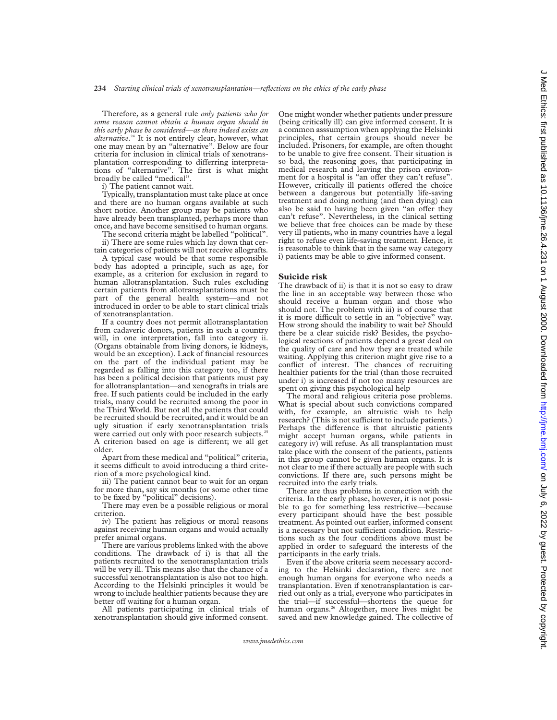Therefore, as a general rule *only patients who for some reason cannot obtain a human organ should in this early phase be considered—as there indeed exists an alternative*. <sup>24</sup> It is not entirely clear, however, what one may mean by an "alternative". Below are four criteria for inclusion in clinical trials of xenotransplantation corresponding to differring interpretations of "alternative". The first is what might broadly be called "medical".

i) The patient cannot wait.

Typically, transplantation must take place at once and there are no human organs available at such short notice. Another group may be patients who have already been transplanted, perhaps more than once, and have become sensitised to human organs.

The second criteria might be labelled "political". ii) There are some rules which lay down that certain categories of patients will not receive allografts.

A typical case would be that some responsible body has adopted a principle, such as age, for example, as a criterion for exclusion in regard to human allotransplantation. Such rules excluding certain patients from allotransplantations must be part of the general health system—and not introduced in order to be able to start clinical trials of xenotransplantation.

If a country does not permit allotransplantation from cadaveric donors, patients in such a country will, in one interpretation, fall into category ii. (Organs obtainable from living donors, ie kidneys, would be an exception). Lack of financial resources on the part of the individual patient may be regarded as falling into this category too, if there has been a political decision that patients must pay for allotransplantation—and xenografts in trials are free. If such patients could be included in the early trials, many could be recruited among the poor in the Third World. But not all the patients that could be recruited should be recruited, and it would be an ugly situation if early xenotransplantation trials were carried out only with poor research subjects.<sup>25</sup> A criterion based on age is different; we all get older.

Apart from these medical and "political" criteria, it seems difficult to avoid introducing a third criterion of a more psychological kind.

iii) The patient cannot bear to wait for an organ for more than, say six months (or some other time to be fixed by "political" decisions).

There may even be a possible religious or moral criterion.

iv) The patient has religious or moral reasons against receiving human organs and would actually prefer animal organs.

There are various problems linked with the above conditions. The drawback of i) is that all the patients recruited to the xenotransplantation trials will be very ill. This means also that the chance of a successful xenotransplantation is also not too high. According to the Helsinki principles it would be wrong to include healthier patients because they are better off waiting for a human organ.

All patients participating in clinical trials of xenotransplantation should give informed consent.

One might wonder whether patients under pressure (being critically ill) can give informed consent. It is a common asssumption when applying the Helsinki principles, that certain groups should never be included. Prisoners, for example, are often thought to be unable to give free consent. Their situation is so bad, the reasoning goes, that participating in medical research and leaving the prison environment for a hospital is "an offer they can't refuse". However, critically ill patients offered the choice between a dangerous but potentially life-saving treatment and doing nothing (and then dying) can also be said to having been given "an offer they can't refuse". Nevertheless, in the clinical setting we believe that free choices can be made by these very ill patients, who in many countries have a legal right to refuse even life-saving treatment. Hence, it is reasonable to think that in the same way category i) patients may be able to give informed consent.

#### **Suicide risk**

The drawback of ii) is that it is not so easy to draw the line in an acceptable way between those who should receive a human organ and those who should not. The problem with iii) is of course that it is more difficult to settle in an "objective" way. How strong should the inability to wait be? Should there be a clear suicide risk? Besides, the psychological reactions of patients depend a great deal on the quality of care and how they are treated while waiting. Applying this criterion might give rise to a conflict of interest. The chances of recruiting healthier patients for the trial (than those recruited under i) is increased if not too many resources are spent on giving this psychological help

The moral and religious criteria pose problems. What is special about such convictions compared with, for example, an altruistic wish to help research? (This is not sufficient to include patients.) Perhaps the difference is that altruistic patients might accept human organs, while patients in category iv) will refuse. As all transplantation must take place with the consent of the patients, patients in this group cannot be given human organs. It is not clear to me if there actually are people with such convictions. If there are, such persons might be recruited into the early trials.

There are thus problems in connection with the criteria. In the early phase, however, it is not possible to go for something less restrictive—because every participant should have the best possible treatment. As pointed out earlier, informed consent is a necessary but not sufficient condition. Restrictions such as the four conditions above must be applied in order to safeguard the interests of the participants in the early trials.

Even if the above criteria seem necessary according to the Helsinki declaration, there are not enough human organs for everyone who needs a transplantation. Even if xenotransplantation is carried out only as a trial, everyone who participates in the trial—if successful—shortens the queue for human organs.<sup>26</sup> Altogether, more lives might be saved and new knowledge gained. The collective of

*www.jmedethics.com*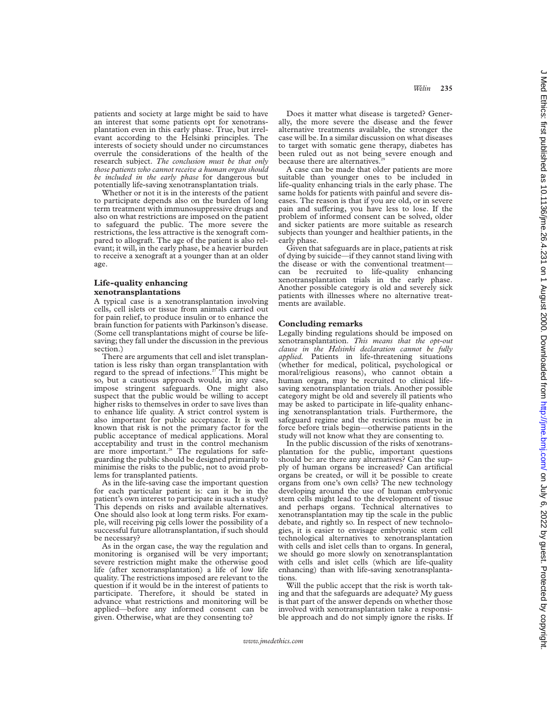patients and society at large might be said to have an interest that some patients opt for xenotransplantation even in this early phase. True, but irrelevant according to the Helsinki principles. The interests of society should under no circumstances overrule the considerations of the health of the research subject. *The conclusion must be that only those patients who cannot receive a human organ should be included in the early phase* for dangerous but potentially life-saving xenotransplantation trials.

Whether or not it is in the interests of the patient to participate depends also on the burden of long term treatment with immunosuppressive drugs and also on what restrictions are imposed on the patient to safeguard the public. The more severe the restrictions, the less attractive is the xenograft compared to allograft. The age of the patient is also relevant; it will, in the early phase, be a heavier burden to receive a xenograft at a younger than at an older age.

# **Life-quality enhancing xenotransplantations**

A typical case is a xenotransplantation involving cells, cell islets or tissue from animals carried out for pain relief, to produce insulin or to enhance the brain function for patients with Parkinson's disease. (Some cell transplantations might of course be lifesaving; they fall under the discussion in the previous section.)

There are arguments that cell and islet transplantation is less risky than organ transplantation with regard to the spread of infections.<sup>27</sup> This might be so, but a cautious approach would, in any case, impose stringent safeguards. One might also suspect that the public would be willing to accept higher risks to themselves in order to save lives than to enhance life quality. A strict control system is also important for public acceptance. It is well known that risk is not the primary factor for the public acceptance of medical applications. Moral acceptability and trust in the control mechanism are more important.<sup>28</sup> The regulations for safeguarding the public should be designed primarily to minimise the risks to the public, not to avoid problems for transplanted patients.

As in the life-saving case the important question for each particular patient is: can it be in the patient's own interest to participate in such a study? This depends on risks and available alternatives. One should also look at long term risks. For example, will receiving pig cells lower the possibility of a successful future allotransplantation, if such should be necessary?

As in the organ case, the way the regulation and monitoring is organised will be very important; severe restriction might make the otherwise good life (after xenotransplantation) a life of low life quality. The restrictions imposed are relevant to the question if it would be in the interest of patients to participate. Therefore, it should be stated in advance what restrictions and monitoring will be applied—before any informed consent can be given. Otherwise, what are they consenting to?

Does it matter what disease is targeted? Generally, the more severe the disease and the fewer alternative treatments available, the stronger the case will be. In a similar discussion on what diseases to target with somatic gene therapy, diabetes has been ruled out as not being severe enough and because there are alternatives.

A case can be made that older patients are more suitable than younger ones to be included in life-quality enhancing trials in the early phase. The same holds for patients with painful and severe diseases. The reason is that if you are old, or in severe pain and suffering, you have less to lose. If the problem of informed consent can be solved, older and sicker patients are more suitable as research subjects than younger and healthier patients, in the early phase.

Given that safeguards are in place, patients at risk of dying by suicide—if they cannot stand living with the disease or with the conventional treatment can be recruited to life-quality enhancing xenotransplantation trials in the early phase. Another possible category is old and severely sick patients with illnesses where no alternative treatments are available.

# **Concluding remarks**

Legally binding regulations should be imposed on xenotransplantation. *This means that the opt-out clause in the Helsinki declaration cannot be fully applied.* Patients in life-threatening situations (whether for medical, political, psychological or moral/religious reasons), who cannot obtain a human organ, may be recruited to clinical lifesaving xenotransplantation trials. Another possible category might be old and severely ill patients who may be asked to participate in life-quality enhancing xenotransplantation trials. Furthermore, the safeguard regime and the restrictions must be in force before trials begin—otherwise patients in the study will not know what they are consenting to.

In the public discussion of the risks of xenotransplantation for the public, important questions should be: are there any alternatives? Can the supply of human organs be increased? Can artificial organs be created, or will it be possible to create organs from one's own cells? The new technology developing around the use of human embryonic stem cells might lead to the development of tissue and perhaps organs. Technical alternatives to xenotransplantation may tip the scale in the public debate, and rightly so. In respect of new technologies, it is easier to envisage embryonic stem cell technological alternatives to xenotransplantation with cells and islet cells than to organs. In general, we should go more slowly on xenotransplantation with cells and islet cells (which are life-quality enhancing) than with life-saving xenotransplantations.

Will the public accept that the risk is worth taking and that the safeguards are adequate? My guess is that part of the answer depends on whether those involved with xenotransplantation take a responsible approach and do not simply ignore the risks. If